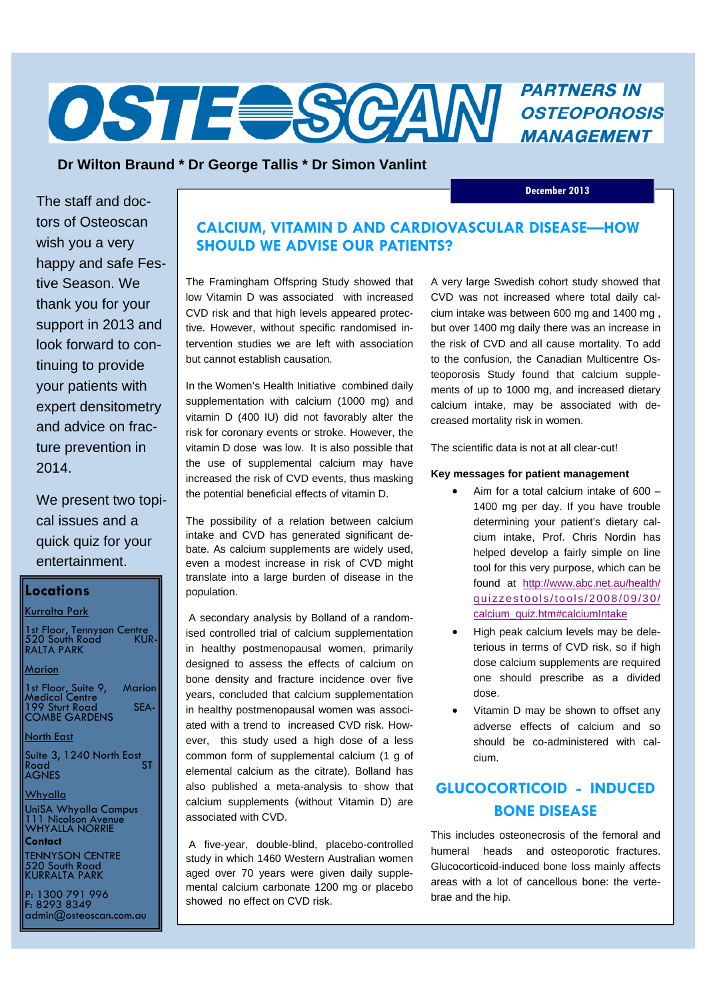# **PARTNERS IN OSTE SCAM** *PARTNERS IN* **MANAGEMENT**

## **Dr Wilton Braund \* Dr George Tallis \* Dr Simon Vanlint**

 **December 2013** 

The staff and doctors of Osteoscan wish you a very happy and safe Festive Season. We thank you for your support in 2013 and look forward to continuing to provide your patients with expert densitometry and advice on fracture prevention in 2014.

We present two topical issues and a quick quiz for your entertainment.

## **Locations**

## Kurralta Park

1st Floor, Tennyson Centre 520 South Road KUR-RALTA PARK

#### Marion

1st Floor, Suite 9, Marion Medical Centre 199 Sturt Road SEA-COMBE GARDENS

#### North East

Suite 3, 1240 North East<br>Road Road ST AGNES

#### Whyalla

UniSA Whyalla Campus 111 Nicolson Avenue WHYALLA NORRIE **Contact** 

TENNYSON CENTRE 520 South Road KURRALTA PARK

P: 1300 791 996 F: 8293 8349 admin@osteoscan.com.au

## **CALCIUM, VITAMIN D AND CARDIOVASCULAR DISEASE—HOW SHOULD WE ADVISE OUR PATIENTS?**

The Framingham Offspring Study showed that low Vitamin D was associated with increased CVD risk and that high levels appeared protective. However, without specific randomised intervention studies we are left with association but cannot establish causation.

In the Women's Health Initiative combined daily supplementation with calcium (1000 mg) and vitamin D (400 IU) did not favorably alter the risk for coronary events or stroke. However, the vitamin D dose was low. It is also possible that the use of supplemental calcium may have increased the risk of CVD events, thus masking the potential beneficial effects of vitamin D.

The possibility of a relation between calcium intake and CVD has generated significant debate. As calcium supplements are widely used, even a modest increase in risk of CVD might translate into a large burden of disease in the population.

 A secondary analysis by Bolland of a randomised controlled trial of calcium supplementation in healthy postmenopausal women, primarily designed to assess the effects of calcium on bone density and fracture incidence over five years, concluded that calcium supplementation in healthy postmenopausal women was associated with a trend to increased CVD risk. However, this study used a high dose of a less common form of supplemental calcium (1 g of elemental calcium as the citrate). Bolland has also published a meta-analysis to show that calcium supplements (without Vitamin D) are associated with CVD.

 A five-year, double-blind, placebo-controlled study in which 1460 Western Australian women aged over 70 years were given daily supplemental calcium carbonate 1200 mg or placebo showed no effect on CVD risk.

A very large Swedish cohort study showed that CVD was not increased where total daily calcium intake was between 600 mg and 1400 mg , but over 1400 mg daily there was an increase in the risk of CVD and all cause mortality. To add to the confusion, the Canadian Multicentre Osteoporosis Study found that calcium supplements of up to 1000 mg, and increased dietary calcium intake, may be associated with decreased mortality risk in women.

The scientific data is not at all clear-cut!

### **Key messages for patient management**

- Aim for a total calcium intake of 600 1400 mg per day. If you have trouble determining your patient's dietary calcium intake, Prof. Chris Nordin has helped develop a fairly simple on line tool for this very purpose, which can be found at http://www.abc.net.au/health/ quizzestools/tools/2008/09/30/ calcium\_quiz.htm#calciumIntake
- High peak calcium levels may be deleterious in terms of CVD risk, so if high dose calcium supplements are required one should prescribe as a divided dose.
- Vitamin D may be shown to offset any adverse effects of calcium and so should be co-administered with calcium.

# **GLUCOCORTICOID - INDUCED BONE DISEASE**

This includes osteonecrosis of the femoral and humeral heads and osteoporotic fractures. Glucocorticoid-induced bone loss mainly affects areas with a lot of cancellous bone: the vertebrae and the hip.